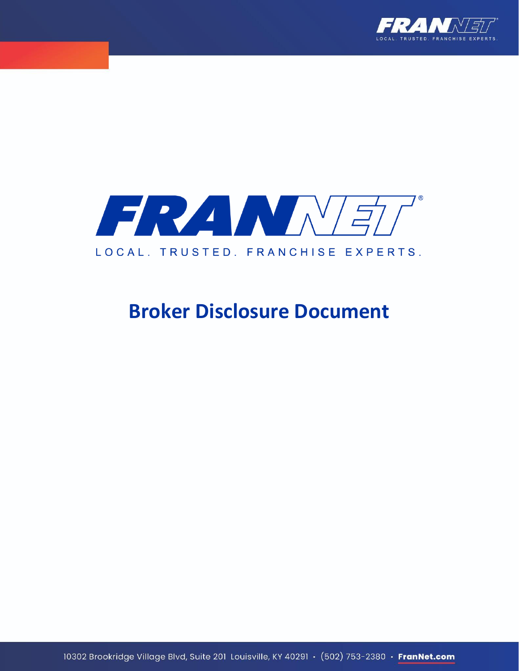



## **Broker Disclosure Document**

10302 Brookridge Village Blvd, Suite 201 Louisville, KY 40291 · (502) 753-2380 · FranNet.com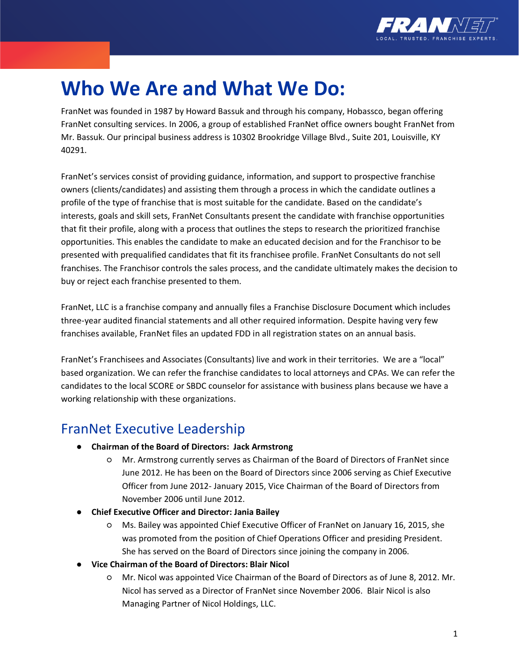

## **Who We Are and What We Do:**

FranNet was founded in 1987 by Howard Bassuk and through his company, Hobassco, began offering FranNet consulting services. In 2006, a group of established FranNet office owners bought FranNet from Mr. Bassuk. Our principal business address is 10302 Brookridge Village Blvd., Suite 201, Louisville, KY 40291.

FranNet's services consist of providing guidance, information, and support to prospective franchise owners (clients/candidates) and assisting them through a process in which the candidate outlines a profile of the type of franchise that is most suitable for the candidate. Based on the candidate's interests, goals and skill sets, FranNet Consultants present the candidate with franchise opportunities that fit their profile, along with a process that outlines the steps to research the prioritized franchise opportunities. This enables the candidate to make an educated decision and for the Franchisor to be presented with prequalified candidates that fit its franchisee profile. FranNet Consultants do not sell franchises. The Franchisor controls the sales process, and the candidate ultimately makes the decision to buy or reject each franchise presented to them.

FranNet, LLC is a franchise company and annually files a Franchise Disclosure Document which includes three-year audited financial statements and all other required information. Despite having very few franchises available, FranNet files an updated FDD in all registration states on an annual basis.

FranNet's Franchisees and Associates (Consultants) live and work in their territories. We are a "local" based organization. We can refer the franchise candidates to local attorneys and CPAs. We can refer the candidates to the local SCORE or SBDC counselor for assistance with business plans because we have a working relationship with these organizations.

## FranNet Executive Leadership

- **Chairman of the Board of Directors: Jack Armstrong**
	- Mr. Armstrong currently serves as Chairman of the Board of Directors of FranNet since June 2012. He has been on the Board of Directors since 2006 serving as Chief Executive Officer from June 2012- January 2015, Vice Chairman of the Board of Directors from November 2006 until June 2012.
- **Chief Executive Officer and Director: Jania Bailey**
	- Ms. Bailey was appointed Chief Executive Officer of FranNet on January 16, 2015, she was promoted from the position of Chief Operations Officer and presiding President. She has served on the Board of Directors since joining the company in 2006.
- **Vice Chairman of the Board of Directors: Blair Nicol**
	- Mr. Nicol was appointed Vice Chairman of the Board of Directors as of June 8, 2012. Mr. Nicol has served as a Director of FranNet since November 2006. Blair Nicol is also Managing Partner of Nicol Holdings, LLC.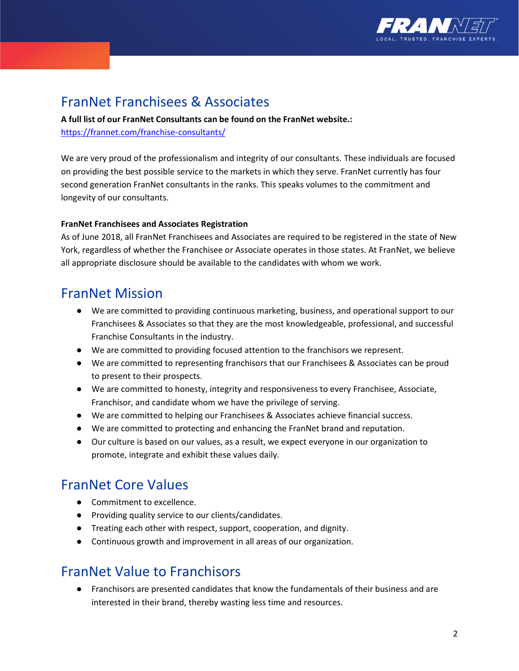

## FranNet Franchisees & Associates

**A full list of our FranNet Consultants can be found on the FranNet website.:**  <https://frannet.com/franchise-consultants/>

We are very proud of the professionalism and integrity of our consultants. These individuals are focused on providing the best possible service to the markets in which they serve. FranNet currently has four second generation FranNet consultants in the ranks. This speaks volumes to the commitment and longevity of our consultants.

#### **FranNet Franchisees and Associates Registration**

As of June 2018, all FranNet Franchisees and Associates are required to be registered in the state of New York, regardless of whether the Franchisee or Associate operates in those states. At FranNet, we believe all appropriate disclosure should be available to the candidates with whom we work.

## FranNet Mission

- We are committed to providing continuous marketing, business, and operational support to our Franchisees & Associates so that they are the most knowledgeable, professional, and successful Franchise Consultants in the industry.
- We are committed to providing focused attention to the franchisors we represent.
- We are committed to representing franchisors that our Franchisees & Associates can be proud to present to their prospects.
- We are committed to honesty, integrity and responsiveness to every Franchisee, Associate, Franchisor, and candidate whom we have the privilege of serving.
- We are committed to helping our Franchisees & Associates achieve financial success.
- We are committed to protecting and enhancing the FranNet brand and reputation.
- Our culture is based on our values, as a result, we expect everyone in our organization to promote, integrate and exhibit these values daily.

### FranNet Core Values

- Commitment to excellence.
- Providing quality service to our clients/candidates.
- Treating each other with respect, support, cooperation, and dignity.
- Continuous growth and improvement in all areas of our organization.

### FranNet Value to Franchisors

● Franchisors are presented candidates that know the fundamentals of their business and are interested in their brand, thereby wasting less time and resources.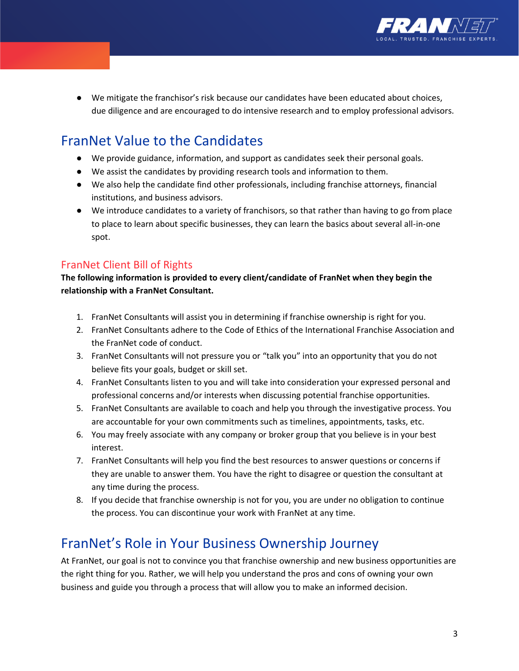

● We mitigate the franchisor's risk because our candidates have been educated about choices, due diligence and are encouraged to do intensive research and to employ professional advisors.

## FranNet Value to the Candidates

- We provide guidance, information, and support as candidates seek their personal goals.
- We assist the candidates by providing research tools and information to them.
- We also help the candidate find other professionals, including franchise attorneys, financial institutions, and business advisors.
- We introduce candidates to a variety of franchisors, so that rather than having to go from place to place to learn about specific businesses, they can learn the basics about several all-in-one spot.

### FranNet Client Bill of Rights

**The following information is provided to every client/candidate of FranNet when they begin the relationship with a FranNet Consultant.** 

- 1. FranNet Consultants will assist you in determining if franchise ownership is right for you.
- 2. FranNet Consultants adhere to the Code of Ethics of the International Franchise Association and the FranNet code of conduct.
- 3. FranNet Consultants will not pressure you or "talk you" into an opportunity that you do not believe fits your goals, budget or skill set.
- 4. FranNet Consultants listen to you and will take into consideration your expressed personal and professional concerns and/or interests when discussing potential franchise opportunities.
- 5. FranNet Consultants are available to coach and help you through the investigative process. You are accountable for your own commitments such as timelines, appointments, tasks, etc.
- 6. You may freely associate with any company or broker group that you believe is in your best interest.
- 7. FranNet Consultants will help you find the best resources to answer questions or concerns if they are unable to answer them. You have the right to disagree or question the consultant at any time during the process.
- 8. If you decide that franchise ownership is not for you, you are under no obligation to continue the process. You can discontinue your work with FranNet at any time.

## FranNet's Role in Your Business Ownership Journey

At FranNet, our goal is not to convince you that franchise ownership and new business opportunities are the right thing for you. Rather, we will help you understand the pros and cons of owning your own business and guide you through a process that will allow you to make an informed decision.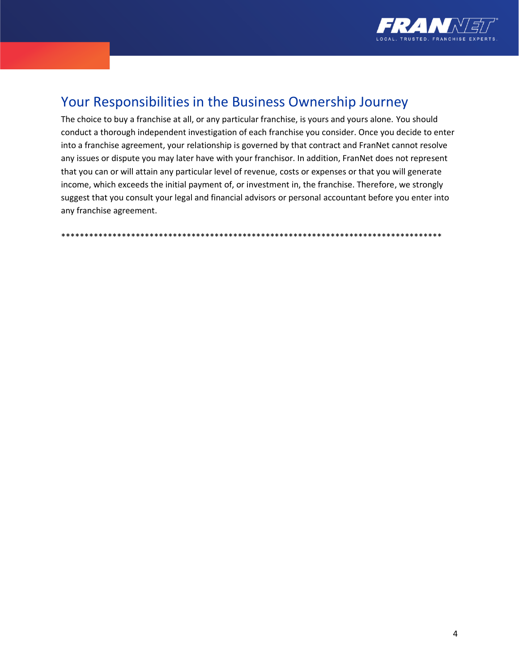

## Your Responsibilities in the Business Ownership Journey

The choice to buy a franchise at all, or any particular franchise, is yours and yours alone. You should conduct a thorough independent investigation of each franchise you consider. Once you decide to enter into a franchise agreement, your relationship is governed by that contract and FranNet cannot resolve any issues or dispute you may later have with your franchisor. In addition, FranNet does not represent that you can or will attain any particular level of revenue, costs or expenses or that you will generate income, which exceeds the initial payment of, or investment in, the franchise. Therefore, we strongly suggest that you consult your legal and financial advisors or personal accountant before you enter into any franchise agreement.

\*\*\*\*\*\*\*\*\*\*\*\*\*\*\*\*\*\*\*\*\*\*\*\*\*\*\*\*\*\*\*\*\*\*\*\*\*\*\*\*\*\*\*\*\*\*\*\*\*\*\*\*\*\*\*\*\*\*\*\*\*\*\*\*\*\*\*\*\*\*\*\*\*\*\*\*\*\*\*\*\*\*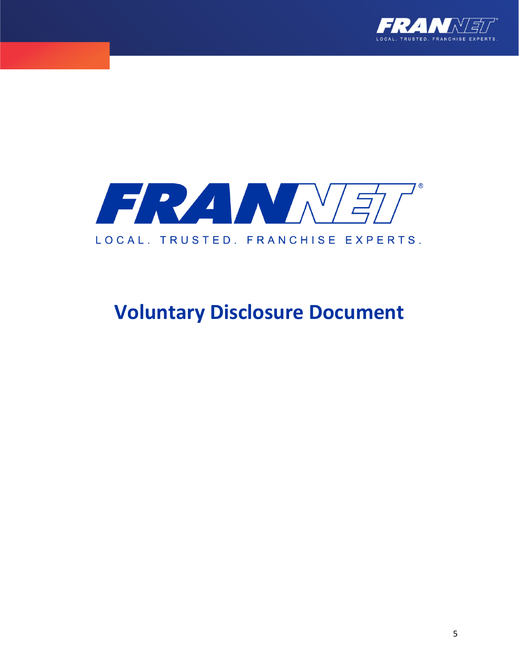



# **Voluntary Disclosure Document**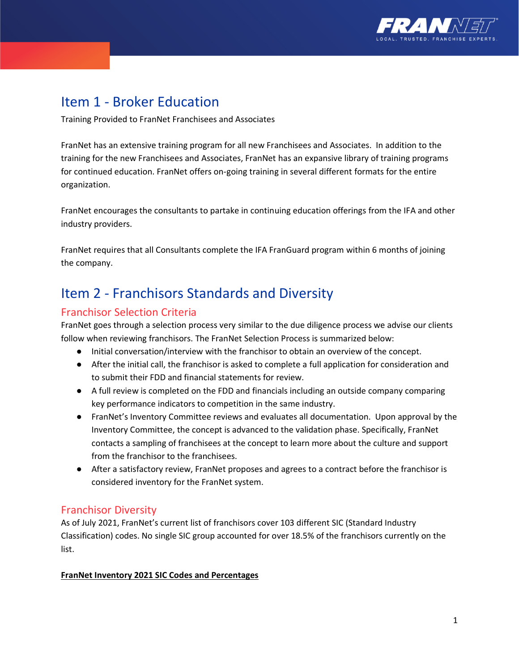

## Item 1 - Broker Education

Training Provided to FranNet Franchisees and Associates

FranNet has an extensive training program for all new Franchisees and Associates. In addition to the training for the new Franchisees and Associates, FranNet has an expansive library of training programs for continued education. FranNet offers on-going training in several different formats for the entire organization.

FranNet encourages the consultants to partake in continuing education offerings from the IFA and other industry providers.

FranNet requires that all Consultants complete the IFA FranGuard program within 6 months of joining the company.

## Item 2 - Franchisors Standards and Diversity

### Franchisor Selection Criteria

FranNet goes through a selection process very similar to the due diligence process we advise our clients follow when reviewing franchisors. The FranNet Selection Process is summarized below:

- Initial conversation/interview with the franchisor to obtain an overview of the concept.
- After the initial call, the franchisor is asked to complete a full application for consideration and to submit their FDD and financial statements for review.
- A full review is completed on the FDD and financials including an outside company comparing key performance indicators to competition in the same industry.
- FranNet's Inventory Committee reviews and evaluates all documentation. Upon approval by the Inventory Committee, the concept is advanced to the validation phase. Specifically, FranNet contacts a sampling of franchisees at the concept to learn more about the culture and support from the franchisor to the franchisees.
- After a satisfactory review, FranNet proposes and agrees to a contract before the franchisor is considered inventory for the FranNet system.

### Franchisor Diversity

As of July 2021, FranNet's current list of franchisors cover 103 different SIC (Standard Industry Classification) codes. No single SIC group accounted for over 18.5% of the franchisors currently on the list.

#### **FranNet Inventory 2021 SIC Codes and Percentages**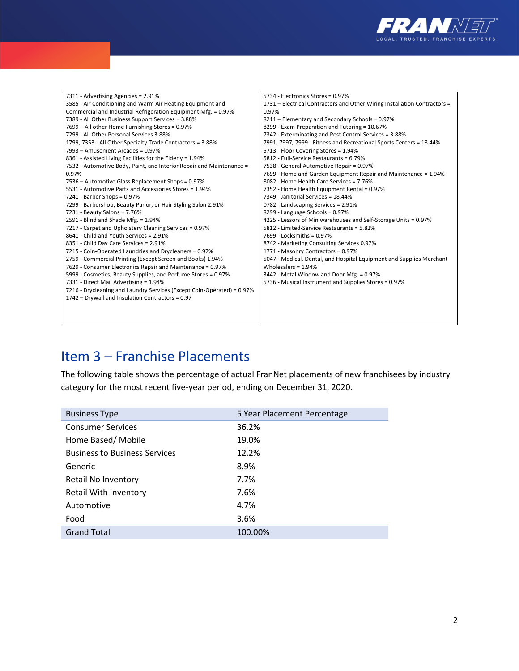

| 7311 - Advertising Agencies = 2.91%                                    | 5734 - Electronics Stores = 0.97%                                         |
|------------------------------------------------------------------------|---------------------------------------------------------------------------|
| 3585 - Air Conditioning and Warm Air Heating Equipment and             | 1731 – Electrical Contractors and Other Wiring Installation Contractors = |
| Commercial and Industrial Refrigeration Equipment Mfg. = 0.97%         | 0.97%                                                                     |
| 7389 - All Other Business Support Services = 3.88%                     | 8211 - Elementary and Secondary Schools = 0.97%                           |
| 7699 - All other Home Furnishing Stores = 0.97%                        | 8299 - Exam Preparation and Tutoring = 10.67%                             |
| 7299 - All Other Personal Services 3.88%                               | 7342 - Exterminating and Pest Control Services = 3.88%                    |
| 1799, 7353 - All Other Specialty Trade Contractors = 3.88%             | 7991, 7997, 7999 - Fitness and Recreational Sports Centers = 18.44%       |
| 7993 - Amusement Arcades = 0.97%                                       | 5713 - Floor Covering Stores = 1.94%                                      |
| 8361 - Assisted Living Facilities for the Elderly = 1.94%              | 5812 - Full-Service Restaurants = 6.79%                                   |
| 7532 - Automotive Body, Paint, and Interior Repair and Maintenance =   | 7538 - General Automotive Repair = 0.97%                                  |
| 0.97%                                                                  | 7699 - Home and Garden Equipment Repair and Maintenance = 1.94%           |
| 7536 - Automotive Glass Replacement Shops = 0.97%                      | 8082 - Home Health Care Services = 7.76%                                  |
| 5531 - Automotive Parts and Accessories Stores = 1.94%                 | 7352 - Home Health Equipment Rental = 0.97%                               |
| 7241 - Barber Shops = 0.97%                                            | 7349 - Janitorial Services = 18.44%                                       |
| 7299 - Barbershop, Beauty Parlor, or Hair Styling Salon 2.91%          | 0782 - Landscaping Services = 2.91%                                       |
| 7231 - Beauty Salons = 7.76%                                           | 8299 - Language Schools = 0.97%                                           |
| 2591 - Blind and Shade Mfg. = 1.94%                                    | 4225 - Lessors of Miniwarehouses and Self-Storage Units = 0.97%           |
| 7217 - Carpet and Upholstery Cleaning Services = 0.97%                 | 5812 - Limited-Service Restaurants = 5.82%                                |
| 8641 - Child and Youth Services = 2.91%                                | 7699 - Locksmiths = 0.97%                                                 |
| 8351 - Child Day Care Services = 2.91%                                 | 8742 - Marketing Consulting Services 0.97%                                |
| 7215 - Coin-Operated Laundries and Drycleaners = 0.97%                 | 1771 - Masonry Contractors = 0.97%                                        |
| 2759 - Commercial Printing (Except Screen and Books) 1.94%             | 5047 - Medical, Dental, and Hospital Equipment and Supplies Merchant      |
| 7629 - Consumer Electronics Repair and Maintenance = 0.97%             | Wholesalers = $1.94%$                                                     |
| 5999 - Cosmetics, Beauty Supplies, and Perfume Stores = 0.97%          | 3442 - Metal Window and Door Mfg. = 0.97%                                 |
| 7331 - Direct Mail Advertising = 1.94%                                 | 5736 - Musical Instrument and Supplies Stores = 0.97%                     |
| 7216 - Drycleaning and Laundry Services (Except Coin-Operated) = 0.97% |                                                                           |
| 1742 - Drywall and Insulation Contractors = 0.97                       |                                                                           |
|                                                                        |                                                                           |
|                                                                        |                                                                           |
|                                                                        |                                                                           |

## Item 3 – Franchise Placements

The following table shows the percentage of actual FranNet placements of new franchisees by industry category for the most recent five-year period, ending on December 31, 2020.

| <b>Business Type</b>                 | 5 Year Placement Percentage |
|--------------------------------------|-----------------------------|
| <b>Consumer Services</b>             | 36.2%                       |
| Home Based/ Mobile                   | 19.0%                       |
| <b>Business to Business Services</b> | 12.2%                       |
| Generic                              | 8.9%                        |
| Retail No Inventory                  | 7.7%                        |
| Retail With Inventory                | 7.6%                        |
| Automotive                           | 4.7%                        |
| Food                                 | 3.6%                        |
| <b>Grand Total</b>                   | 100.00%                     |